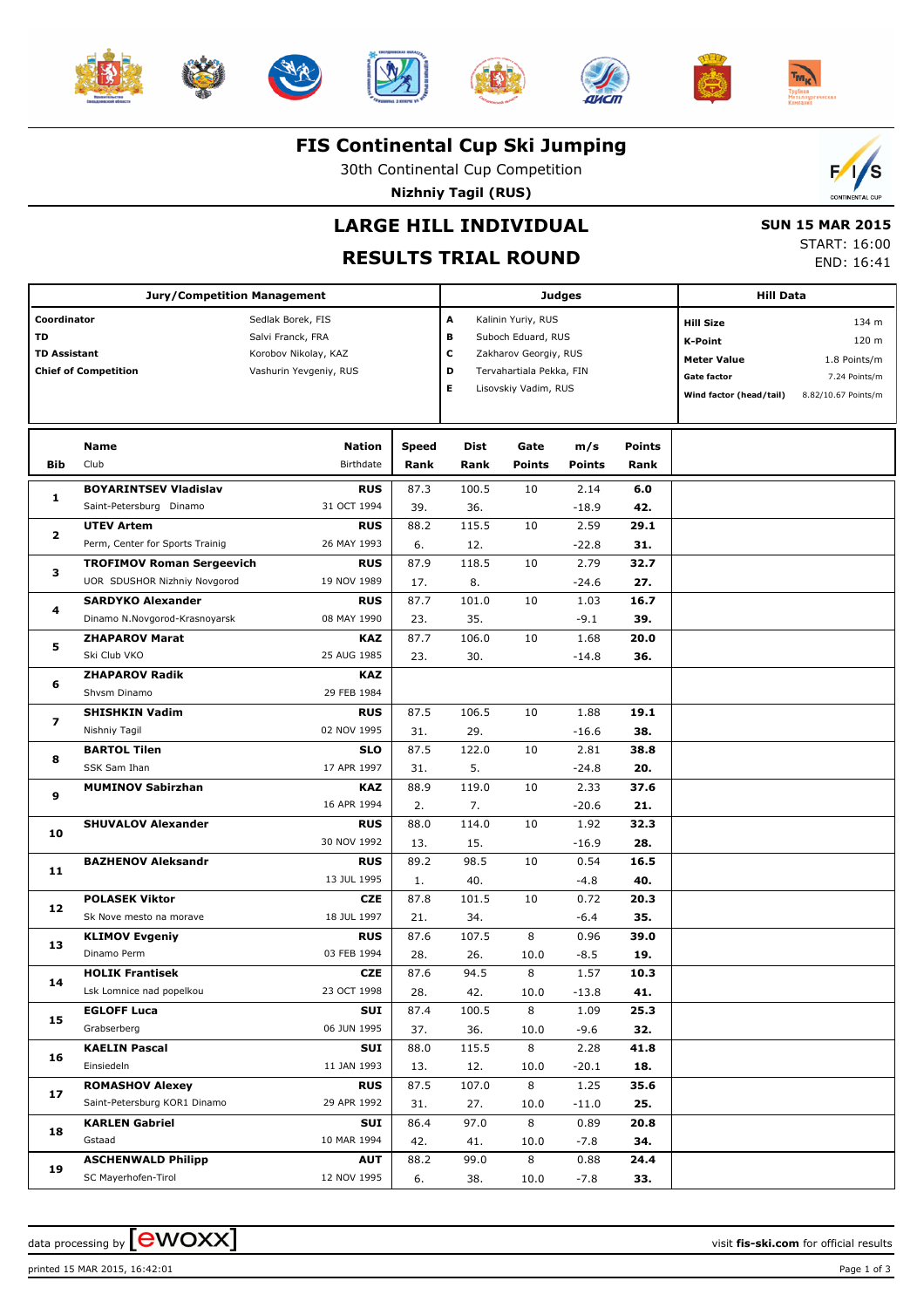













#### **FIS Continental Cup Ski Jumping**

30th Continental Cup Competition

**Nizhniy Tagil (RUS)**



### **LARGE HILL INDIVIDUAL**

# **RESULTS TRIAL ROUND**

 **SUN 15 MAR 2015** START: 16:00

END: 16:41

|                     | <b>Jury/Competition Management</b> |                        |              | Judges | <b>Hill Data</b>         |               |               |                         |                     |
|---------------------|------------------------------------|------------------------|--------------|--------|--------------------------|---------------|---------------|-------------------------|---------------------|
| Coordinator         |                                    | Sedlak Borek, FIS      |              |        | Kalinin Yuriy, RUS       |               |               | <b>Hill Size</b>        | 134 m               |
| TD                  |                                    | Salvi Franck, FRA      |              | в      | Suboch Eduard, RUS       |               |               | K-Point                 | 120 m               |
| <b>TD Assistant</b> |                                    | Korobov Nikolay, KAZ   |              | с      | Zakharov Georgiy, RUS    |               |               | <b>Meter Value</b>      | 1.8 Points/m        |
|                     | <b>Chief of Competition</b>        | Vashurin Yevgeniy, RUS |              | D      | Tervahartiala Pekka, FIN |               |               | <b>Gate factor</b>      | 7.24 Points/m       |
|                     |                                    |                        |              | Е      | Lisovskiy Vadim, RUS     |               |               | Wind factor (head/tail) | 8.82/10.67 Points/m |
|                     |                                    |                        |              |        |                          |               |               |                         |                     |
|                     |                                    |                        |              |        |                          |               |               |                         |                     |
|                     | Name                               | Nation                 | <b>Speed</b> | Dist   | Gate                     | m/s           | <b>Points</b> |                         |                     |
| Bib                 | Club                               | Birthdate              | Rank         | Rank   | <b>Points</b>            | <b>Points</b> | Rank          |                         |                     |
| 1                   | <b>BOYARINTSEV Vladislav</b>       | <b>RUS</b>             | 87.3         | 100.5  | 10                       | 2.14          | 6.0           |                         |                     |
|                     | Saint-Petersburg Dinamo            | 31 OCT 1994            | 39.          | 36.    |                          | $-18.9$       | 42.           |                         |                     |
| $\overline{2}$      | <b>UTEV Artem</b>                  | <b>RUS</b>             | 88.2         | 115.5  | 10                       | 2.59          | 29.1          |                         |                     |
|                     | Perm, Center for Sports Trainig    | 26 MAY 1993            | 6.           | 12.    |                          | $-22.8$       | 31.           |                         |                     |
| з                   | <b>TROFIMOV Roman Sergeevich</b>   | <b>RUS</b>             | 87.9         | 118.5  | 10                       | 2.79          | 32.7          |                         |                     |
|                     | UOR SDUSHOR Nizhniy Novgorod       | 19 NOV 1989            | 17.          | 8.     |                          | $-24.6$       | 27.           |                         |                     |
| 4                   | <b>SARDYKO Alexander</b>           | <b>RUS</b>             | 87.7         | 101.0  | 10                       | 1.03          | 16.7          |                         |                     |
|                     | Dinamo N.Novgorod-Krasnoyarsk      | 08 MAY 1990            | 23.          | 35.    |                          | $-9.1$        | 39.           |                         |                     |
| 5                   | <b>ZHAPAROV Marat</b>              | KAZ                    | 87.7         | 106.0  | 10                       | 1.68          | 20.0          |                         |                     |
|                     | Ski Club VKO                       | 25 AUG 1985            | 23.          | 30.    |                          | $-14.8$       | 36.           |                         |                     |
| 6                   | <b>ZHAPAROV Radik</b>              | <b>KAZ</b>             |              |        |                          |               |               |                         |                     |
|                     | Shvsm Dinamo                       | 29 FEB 1984            |              |        |                          |               |               |                         |                     |
| $\overline{ }$      | <b>SHISHKIN Vadim</b>              | <b>RUS</b>             | 87.5         | 106.5  | 10                       | 1.88          | 19.1          |                         |                     |
|                     | Nishniy Tagil                      | 02 NOV 1995            | 31.          | 29.    |                          | $-16.6$       | 38.           |                         |                     |
| 8                   | <b>BARTOL Tilen</b>                | <b>SLO</b>             | 87.5         | 122.0  | 10                       | 2.81          | 38.8          |                         |                     |
|                     | SSK Sam Ihan                       | 17 APR 1997            | 31.          | 5.     |                          | $-24.8$       | 20.           |                         |                     |
| 9                   | <b>MUMINOV Sabirzhan</b>           | KAZ                    | 88.9         | 119.0  | 10                       | 2.33          | 37.6          |                         |                     |
|                     |                                    | 16 APR 1994            | 2.           | 7.     |                          | $-20.6$       | 21.           |                         |                     |
| 10                  | <b>SHUVALOV Alexander</b>          | <b>RUS</b>             | 88.0         | 114.0  | 10                       | 1.92          | 32.3          |                         |                     |
|                     |                                    | 30 NOV 1992            | 13.          | 15.    |                          | $-16.9$       | 28.           |                         |                     |
| 11                  | <b>BAZHENOV Aleksandr</b>          | <b>RUS</b>             | 89.2         | 98.5   | 10                       | 0.54          | 16.5          |                         |                     |
|                     |                                    | 13 JUL 1995            | 1.           | 40.    |                          | $-4.8$        | 40.           |                         |                     |
| 12                  | <b>POLASEK Viktor</b>              | <b>CZE</b>             | 87.8         | 101.5  | 10                       | 0.72          | 20.3          |                         |                     |
|                     | Sk Nove mesto na morave            | 18 JUL 1997            | 21.          | 34.    |                          | $-6.4$        | 35.           |                         |                     |
| 13                  | <b>KLIMOV Evgeniy</b>              | <b>RUS</b>             | 87.6         | 107.5  | 8                        | 0.96          | 39.0          |                         |                     |
|                     | Dinamo Perm                        | 03 FEB 1994            | 28.          | 26.    | 10.0                     | $-8.5$        | 19.           |                         |                     |
| 14                  | <b>HOLIK Frantisek</b>             | <b>CZE</b>             | 87.6         | 94.5   | 8                        | 1.57          | 10.3          |                         |                     |
|                     | Lsk Lomnice nad popelkou           | 23 OCT 1998            | 28.          | 42.    | 10.0                     | $-13.8$       | 41.           |                         |                     |
| 15                  | <b>EGLOFF Luca</b>                 | SUI                    | 87.4         | 100.5  | 8                        | 1.09          | 25.3          |                         |                     |
|                     | Grabserberg                        | 06 JUN 1995            | 37.          | 36.    | 10.0                     | $-9.6$        | 32.           |                         |                     |
| 16                  | <b>KAELIN Pascal</b>               | SUI                    | 88.0         | 115.5  | 8                        | 2.28          | 41.8          |                         |                     |
|                     | Einsiedeln                         | 11 JAN 1993            | 13.          | 12.    | 10.0                     | $-20.1$       | 18.           |                         |                     |
| 17                  | <b>ROMASHOV Alexey</b>             | <b>RUS</b>             | 87.5         | 107.0  | 8                        | 1.25          | 35.6          |                         |                     |
|                     | Saint-Petersburg KOR1 Dinamo       | 29 APR 1992            | 31.          | 27.    | 10.0                     | $-11.0$       | 25.           |                         |                     |
| 18                  | <b>KARLEN Gabriel</b>              | SUI                    | 86.4         | 97.0   | 8                        | 0.89          | 20.8          |                         |                     |
|                     | Gstaad                             | 10 MAR 1994            | 42.          | 41.    | 10.0                     | $-7.8$        | 34.           |                         |                     |
| 19                  | <b>ASCHENWALD Philipp</b>          | <b>AUT</b>             | 88.2         | 99.0   | 8                        | 0.88          | 24.4          |                         |                     |
|                     | SC Mayerhofen-Tirol                | 12 NOV 1995            | 6.           | 38.    | 10.0                     | $-7.8$        | 33.           |                         |                     |

printed 15 MAR 2015, 16:42:01 Page 1 of 3

data processing by **CWOXX** and the set of the set of the visit **fis-ski.com** for official results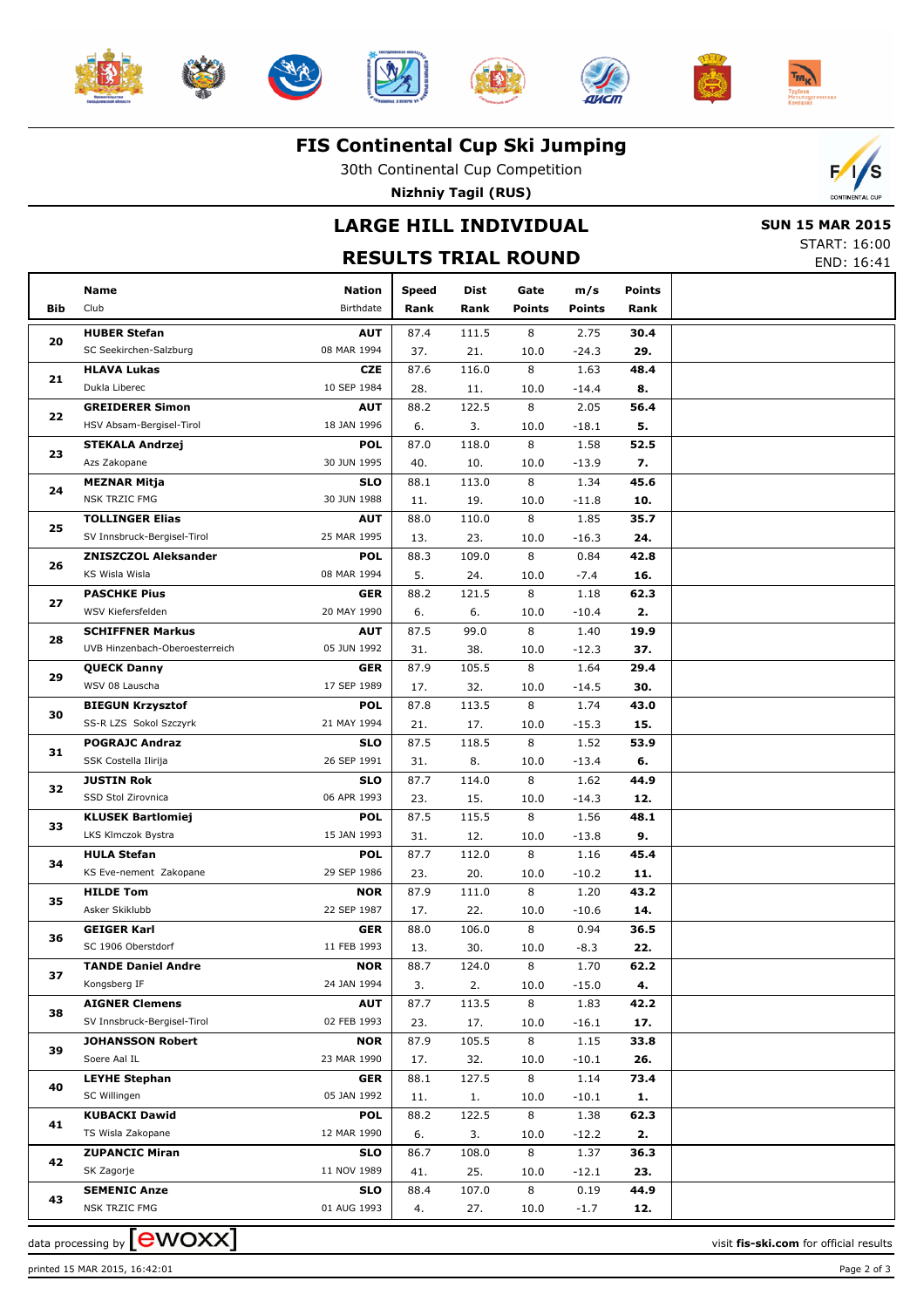













#### **FIS Continental Cup Ski Jumping**

30th Continental Cup Competition

**Nizhniy Tagil (RUS)**

## **LARGE HILL INDIVIDUAL**



START: 16:00

|            | <b>RESULTS TRIAL ROUND</b>                |                           |              |              |               |                 |               |  |  |  |  |
|------------|-------------------------------------------|---------------------------|--------------|--------------|---------------|-----------------|---------------|--|--|--|--|
|            | <b>Name</b>                               | <b>Nation</b>             | <b>Speed</b> | Dist         | Gate          | m/s             | <b>Points</b> |  |  |  |  |
| <b>Bib</b> | Club                                      | Birthdate                 | Rank         | Rank         | <b>Points</b> | <b>Points</b>   | Rank          |  |  |  |  |
|            | <b>HUBER Stefan</b>                       | <b>AUT</b>                | 87.4         | 111.5        | 8             | 2.75            | 30.4          |  |  |  |  |
| 20         | SC Seekirchen-Salzburg                    | 08 MAR 1994               | 37.          | 21.          | 10.0          | $-24.3$         | 29.           |  |  |  |  |
|            | <b>HLAVA Lukas</b>                        | <b>CZE</b>                | 87.6         | 116.0        | 8             | 1.63            | 48.4          |  |  |  |  |
| 21         | Dukla Liberec                             | 10 SEP 1984               | 28.          | 11.          | 10.0          | $-14.4$         | 8.            |  |  |  |  |
|            | <b>GREIDERER Simon</b>                    | <b>AUT</b>                | 88.2         | 122.5        | 8             | 2.05            | 56.4          |  |  |  |  |
| 22         | HSV Absam-Bergisel-Tirol                  | 18 JAN 1996               | 6.           | 3.           | 10.0          | $-18.1$         | 5.            |  |  |  |  |
| 23         | <b>STEKALA Andrzej</b>                    | <b>POL</b>                | 87.0         | 118.0        | 8             | 1.58            | 52.5          |  |  |  |  |
|            | Azs Zakopane                              | 30 JUN 1995               | 40.          | 10.          | 10.0          | $-13.9$         | 7.            |  |  |  |  |
| 24         | <b>MEZNAR Mitja</b>                       | <b>SLO</b>                | 88.1         | 113.0        | 8             | 1.34            | 45.6          |  |  |  |  |
|            | <b>NSK TRZIC FMG</b>                      | 30 JUN 1988               | 11.          | 19.          | 10.0          | $-11.8$         | 10.           |  |  |  |  |
| 25         | <b>TOLLINGER Elias</b>                    | <b>AUT</b>                | 88.0         | 110.0        | 8             | 1.85            | 35.7          |  |  |  |  |
|            | SV Innsbruck-Bergisel-Tirol               | 25 MAR 1995               | 13.          | 23.          | 10.0          | $-16.3$         | 24.           |  |  |  |  |
| 26         | <b>ZNISZCZOL Aleksander</b>               | <b>POL</b>                | 88.3         | 109.0        | 8             | 0.84            | 42.8          |  |  |  |  |
|            | KS Wisla Wisla                            | 08 MAR 1994               | 5.           | 24.          | 10.0          | $-7.4$          | 16.           |  |  |  |  |
| 27         | <b>PASCHKE Pius</b>                       | <b>GER</b>                | 88.2         | 121.5        | 8             | 1.18            | 62.3          |  |  |  |  |
|            | WSV Kiefersfelden                         | 20 MAY 1990               | 6.           | 6.           | 10.0          | $-10.4$         | 2.            |  |  |  |  |
| 28         | <b>SCHIFFNER Markus</b>                   | <b>AUT</b>                | 87.5         | 99.0         | 8             | 1.40            | 19.9          |  |  |  |  |
|            | UVB Hinzenbach-Oberoesterreich            | 05 JUN 1992               | 31.          | 38.          | 10.0          | $-12.3$         | 37.           |  |  |  |  |
| 29         | <b>QUECK Danny</b>                        | <b>GER</b>                | 87.9         | 105.5        | 8             | 1.64            | 29.4          |  |  |  |  |
|            | WSV 08 Lauscha                            | 17 SEP 1989               | 17.          | 32.          | 10.0          | $-14.5$         | 30.           |  |  |  |  |
| 30         | <b>BIEGUN Krzysztof</b>                   | <b>POL</b>                | 87.8         | 113.5        | 8             | 1.74            | 43.0          |  |  |  |  |
|            | SS-R LZS Sokol Szczyrk                    | 21 MAY 1994               | 21.          | 17.          | 10.0          | $-15.3$         | 15.           |  |  |  |  |
| 31         | <b>POGRAJC Andraz</b>                     | <b>SLO</b>                | 87.5         | 118.5        | 8             | 1.52            | 53.9          |  |  |  |  |
|            | SSK Costella Ilirija                      | 26 SEP 1991               | 31.          | 8.           | 10.0          | $-13.4$         | 6.            |  |  |  |  |
| 32         | <b>JUSTIN Rok</b>                         | <b>SLO</b>                | 87.7         | 114.0        | 8             | 1.62            | 44.9          |  |  |  |  |
|            | SSD Stol Zirovnica                        | 06 APR 1993               | 23.          | 15.          | 10.0          | $-14.3$         | 12.           |  |  |  |  |
| 33         | <b>KLUSEK Bartlomiej</b>                  | <b>POL</b>                | 87.5         | 115.5        | 8             | 1.56            | 48.1          |  |  |  |  |
|            | LKS Klmczok Bystra                        | 15 JAN 1993               | 31.          | 12.          | 10.0          | $-13.8$         | 9.            |  |  |  |  |
| 34         | <b>HULA Stefan</b>                        | <b>POL</b>                | 87.7         | 112.0        | 8             | 1.16            | 45.4          |  |  |  |  |
|            | KS Eve-nement Zakopane                    | 29 SEP 1986               | 23.          | 20.          | 10.0          | $-10.2$         | 11.           |  |  |  |  |
| 35         | <b>HILDE Tom</b>                          | <b>NOR</b>                | 87.9         | 111.0        | 8             | 1.20            | 43.2          |  |  |  |  |
|            | Asker Skiklubb                            | 22 SEP 1987               | 17.          | 22.          | 10.0          | $-10.6$         | 14.           |  |  |  |  |
| 36         | <b>GEIGER Karl</b>                        | <b>GER</b>                | 88.0         | 106.0        | 8             | 0.94            | 36.5          |  |  |  |  |
|            | SC 1906 Oberstdorf                        | 11 FEB 1993               | 13.          | 30.          | 10.0          | -8.3            | 22.           |  |  |  |  |
| 37         | <b>TANDE Daniel Andre</b><br>Kongsberg IF | <b>NOR</b><br>24 JAN 1994 | 88.7         | 124.0        | 8             | 1.70            | 62.2          |  |  |  |  |
|            | <b>AIGNER Clemens</b>                     |                           | 3.           | 2.           | 10.0          | $-15.0$         | 4.            |  |  |  |  |
| 38         | SV Innsbruck-Bergisel-Tirol               | <b>AUT</b><br>02 FEB 1993 | 87.7         | 113.5<br>17. | 8             | 1.83            | 42.2<br>17.   |  |  |  |  |
|            |                                           |                           | 23.<br>87.9  | 105.5        | 10.0<br>8     | $-16.1$<br>1.15 | 33.8          |  |  |  |  |
| 39         | <b>JOHANSSON Robert</b><br>Soere Aal IL   | <b>NOR</b><br>23 MAR 1990 |              | 32.          |               |                 |               |  |  |  |  |
|            | <b>LEYHE Stephan</b>                      | <b>GER</b>                | 17.<br>88.1  | 127.5        | 10.0<br>8     | $-10.1$<br>1.14 | 26.<br>73.4   |  |  |  |  |
| 40         | SC Willingen                              | 05 JAN 1992               | 11.          | 1.           | 10.0          | $-10.1$         | 1.            |  |  |  |  |
|            | <b>KUBACKI Dawid</b>                      | <b>POL</b>                | 88.2         | 122.5        | 8             | 1.38            | 62.3          |  |  |  |  |
| 41         | TS Wisla Zakopane                         | 12 MAR 1990               | 6.           | 3.           | 10.0          | $-12.2$         | 2.            |  |  |  |  |
|            | <b>ZUPANCIC Miran</b>                     | <b>SLO</b>                | 86.7         | 108.0        | 8             | 1.37            | 36.3          |  |  |  |  |
| 42         | SK Zagorje                                | 11 NOV 1989               | 41.          | 25.          | 10.0          | $-12.1$         | 23.           |  |  |  |  |
|            | <b>SEMENIC Anze</b>                       | <b>SLO</b>                | 88.4         | 107.0        | 8             | 0.19            | 44.9          |  |  |  |  |
| 43         | NSK TRZIC FMG                             | 01 AUG 1993               | 4.           | 27.          | 10.0          | $-1.7$          | 12.           |  |  |  |  |

data processing by **CWOXX**  $\blacksquare$ 

printed 15 MAR 2015, 16:42:01 Page 2 of 3